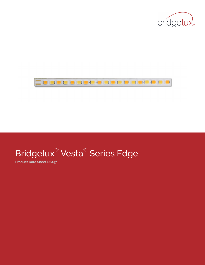



# Bridgelux® Vesta® Series Edge

**Product Data Sheet DS157**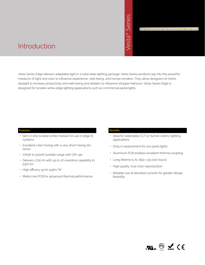# ® Series

**\_\_\_\_\_\_\_\_\_\_\_\_\_\_\_\_\_\_** 

# Introduction

Vesta Series Edge delivers adaptable light in a solid state lighting package. Vesta Series products tap into the powerful mediums of light and color to influence experience, well-being, and human emotion. They allow designers to mimic daylight to increase productivity and well-being and retailers to influence shopper behavior. Vesta Series Edge is metric designed for tunable white edge lighting applications such as commercial panel lights.<br>
Mesta Series Edge delivers adaptable light in a solid state lighting package. Vesta Series<br>
designed for tunable white edge lig

# **Features**

- Slim in-line tunable white module for use in edge lit systems
- Excellent color mixing with a very short mixing distance
- 2700K to 5000K tunable range with CRI >90
- Delivers 2730 lm with up to 2X overdrive capability to 5320 lm
- High efficacy up to 143lm/W
- Metal core PCB for advanced thermal performance

### **Benefits**

- Ideal for selectable CCT or human centric lighting applications
- Drop in replacement for 2x2 panel lights
- Aluminum PCB enables excellent thermal coupling
- Long lifetime (L70, B50 > 50,000 hours)
- High quality, true color reproduction
- Reliable use at elevated currents for greater design flexibility

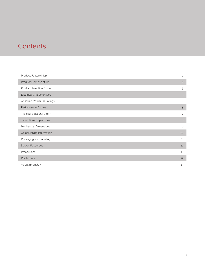# **Contents**

| Product Feature Map               | $\overline{c}$ |
|-----------------------------------|----------------|
| Product Nomenclature              | $\overline{c}$ |
| Product Selection Guide           | 3              |
| <b>Electrical Characteristics</b> | $\mathfrak{Z}$ |
| Absolute Maximum Ratings          | $\overline{4}$ |
| Performance Curves                | 5              |
| <b>Typical Radiation Pattern</b>  | 7              |
| Typical Color Spectrum            | 8              |
| Mechanical Dimensions             | 9              |
| Color Binning Information         | 10             |
| Packaging and Labeling            | 11             |
| Design Resources                  | 12             |
| Precautions                       | 12             |
| <b>Disclaimers</b>                | 12             |
| About Bridgelux                   | 13             |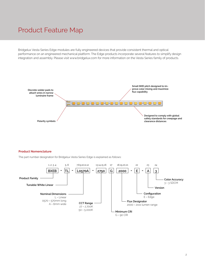# Product Feature Map

Bridgelux Vesta Series Edge modules are fully engineered devices that provide consistent thermal and optical performance on an engineered mechanical platform. The Edge products incorporate several features to simplify design integration and assembly. Please visit www.bridgelux.com for more information on the Vesta Series family of products.



### **Product Nomenclature**

The part number designation for Bridgelux Vesta Series Edge is explained as follows:

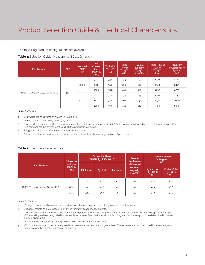# Product Selection Guide & Electrical Characteristics

The following product configurations are available:

# **Table 1:** Selection Guide, Measurement Data (T<sub>c</sub> = 25°C. )

| <b>Part Number</b>            | CRI <sup>1</sup> | <b>Nominal</b><br>CCT <sup>2</sup><br>(K) | <b>Drive</b><br>Current<br>(per<br>channel)<br>(mA) | Typical $V_{\epsilon}$<br>$T_c = 25^{\circ}C$<br>(V) | <b>Typical</b><br>Power<br>$T_c = 25^{\circ}C$<br>$($ W $)$ | <b>Typical</b><br>Efficacy<br>$T_c = 25^{\circ}C$<br>$\frac{1}{2}$ | <b>Typical Pulsed</b><br>Flux <sup>3.4</sup><br>$T_c = 25^{\circ}C$<br>(lm) | <b>Minimum</b><br>Pulsed Flux 4.5<br>$T_c = 25^{\circ}C$<br>(lm) |
|-------------------------------|------------------|-------------------------------------------|-----------------------------------------------------|------------------------------------------------------|-------------------------------------------------------------|--------------------------------------------------------------------|-----------------------------------------------------------------------------|------------------------------------------------------------------|
| BXEB-TL-L0570A-2750G2000-E-A3 | 90               | 2700                                      | 300                                                 | 33.0                                                 | 9.9                                                         | 133                                                                | 1320                                                                        | 1260                                                             |
|                               |                  |                                           | 600                                                 | 34.6                                                 | 20.8                                                        | 122                                                                | 2540                                                                        | 2425                                                             |
|                               |                  |                                           | 1200                                                | 36.8                                                 | 44.2                                                        | 112                                                                | 4950                                                                        | 4725                                                             |
|                               |                  | 5000                                      | 300                                                 | 33.0                                                 | 9.9                                                         | 143                                                                | 1420                                                                        | 1350                                                             |
|                               |                  |                                           | 600                                                 | 34.6                                                 | 20.8                                                        | 132                                                                | 2730                                                                        | 2600                                                             |
|                               |                  |                                           | 1200                                                | 36.8                                                 | 44.2                                                        | 120                                                                | 5320                                                                        | 5070                                                             |

### Notes for Table 1:

- 1. CRI values are minimums. Minimum R9 value is 50,
- 2. Nominal CCT as defined by ANSI C78.377-2011.
- 3. Products tested at nominal test current where center case temperature point Tc= 25° C. Values may vary depending on the thermal design of the luminaire and/or the environment to which the product is subjected.
- 4. Bridgelux maintains a ±7% tolerance on flux measurements.
- 5. Minimum performance values are provided as reference only and are not a guarantee of performance.

### **Table 2:** Electrical Characteristics

| <b>Drive Cur-</b>             |                               |                | <b>Forward Voltage</b><br>Pulsed, $T_{2}$ = 25°C (V) <sup>1,2,3</sup> |                                                                         | <b>Typical</b><br><b>Coefficient</b>      | <b>Driver Selection</b><br>Voltages <sup>5</sup><br>(V) |      |
|-------------------------------|-------------------------------|----------------|-----------------------------------------------------------------------|-------------------------------------------------------------------------|-------------------------------------------|---------------------------------------------------------|------|
| <b>Part Number</b>            | rent (per<br>channel)<br>(mA) | <b>Minimum</b> | <b>Typical</b><br><b>Maximum</b>                                      | of Forward<br>Voltage <sup>4</sup><br>$\Delta V$ / $\Delta T$<br>(mV/C) | V. Min. Hot<br>$T_c = 85^{\circ}C$<br>(V) | V, Max. Cold<br>$T_c = -40^{\circ}C$<br>(V)             |      |
|                               | 300                           | 31.9           | 33.0                                                                  | 34.1                                                                    | $-17$                                     | 30.9                                                    | 35.2 |
| BXEB-TL-L0570A-2750G2000-E-A3 | 600                           | 33.5           | 34.6                                                                  | 35.7                                                                    | $-17$                                     | 32.5                                                    | 36.8 |
|                               | 1200                          | 35.6           | 36.8                                                                  | 38.0                                                                    | $-17$                                     | 34.6                                                    | 39.1 |

Notes for Table 2:

- 1. Voltage minimum and maximum are provided for reference only and are not a guarantee of performance.
- 2. Bridgelux maintains a tolerance of ± 0.10 V on forward voltage measurements.
- 3. This product has been designed and manufactured per IEC 62031:2014. This product has passed dielectric withstand voltage testing at 1500 V. The working voltage designated for the insulation is 250V. The maximum allowable voltage across the array must be determined in the end product application.
- 4. Typical coefficient of forward voltage tolerance is ± 0.1 mV for nominal current.
- 5. Vf min hot and max cold values are provided as reference only and are not guaranteed. These values are provided to aid in driver design and selection over the operating range of the product.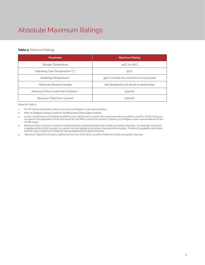# Absolute Maximum Ratings

# **Table 3:** Maximum Ratings

| <b>Parameter</b>                            | <b>Maximum Rating</b>                     |
|---------------------------------------------|-------------------------------------------|
| Storage Temperature                         | $-40^{\circ}$ C to $+85^{\circ}$ C        |
| Operating Case Temperature <sup>1</sup> (T) | $90^{\circ}$ C                            |
| Soldering Temperature <sup>2</sup>          | 350°C or lower for a maximum of 5 seconds |
| Maximum Reverse Voltage                     | Not designed to be driven in reverse bias |
| Maximum Drive Current Per Channel 34        | 1200 <sub>m</sub> A                       |
| Maximum Total Drive Current <sup>5</sup>    | 1200mA                                    |

Notes for Table 3:

1. For IEC 62717 requirement, please consult your Bridgelux sales representative.

2. Refer to Bridgelux Design Guide for handling Vesta Series Edge modules.

3. Lumen maintenance and lifetime predictions are valid for drive current and case temperature conditions used for LM-80 testing as included in the applicable LM-80 test report for the SMDs used in this product. Contact your Bridgelux sales representatives for the LM-80 report.

4. Maximum Drive Current is maximum combined drive currents between both 2700K and 5000K channels. For example, if 1200mA is applied to the 2700K channel, no current may be applied to the 5000K channel of the module. If 600mA is applied to the 2700K channel, then a maximum of 600mA may be applied to the 5000K channel.

5. Maximum Total Drive Current is defined as the sum of the drive currents of both the 2700K and 5000K channels.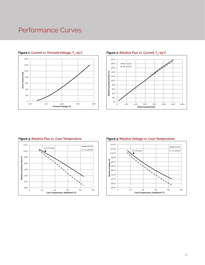# Performance Curves



# **Figure 1: Current vs. Forward Voltage, T<sub>c</sub>=25°C**



# **Example 2: Relative Flux vs. Current, T<sub>c</sub>=25°C, Present Apple 2: Relative Flux vs. Current, T**

### **Figure 3: Relative Flux vs. Case Temperature Figure 4: Relative Voltage vs. Case Temperature**



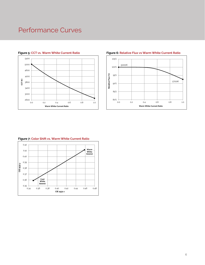# Performance Curves





# **Figure 5: CCT vs. Warm White Current Ratio Figure 6: Relative Flux vs Warm White Current Ratio**

# **Figure 7: Color Shift vs. Warm White Current Ratio**

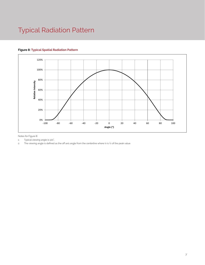# Typical Radiation Pattern

# **Figure 8: Typical Spatial Radiation Pattern**



Notes for Figure 8:

1. Typical viewing angle is 120°. .

2. The viewing angle is defined as the off axis angle from the centerline where Iv is 1/2 of the peak value.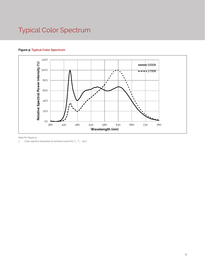# Typical Color Spectrum

# **Figure 9: Typical Color Spectrum**



Note for Figure 9:

1. Color spectra measured at nominal current for T $_{\rm j}$  = T $_{\rm c}$  = 25°C.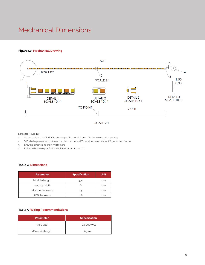# Mechanical Dimensions

# **Figure 10: Mechanical Drawing**



SCALE 2:1

Notes for Figure 10:

- 1. Solder pads are labeled "+" to denote positive polarity, and "-" to denote negative polarity.
- 2. "W" label represents 2700K (warm white) channel and "C" label represents 5000K (cool white) channel
- 3. Drawing dimensions are in millimeters.
- 4. Unless otherwise specified, the tolerances are ± 0.10mm..

### **Table 4: Dimensions**

| <b>Parameter</b>     | <b>Specification</b> | <b>Unit</b> |
|----------------------|----------------------|-------------|
| Module length        | 570                  | mm          |
| Module width         | 6                    | mm          |
| Module thickness     | $1.5\,$              | mm          |
| <b>PCB</b> thickness | 0.8                  | mm          |

# **Table 5: Wiring Recommendations**

| <b>Parameter</b>  | <b>Specification</b> |
|-------------------|----------------------|
| Wire size         | 24-26 AWG            |
| Wire strip length | $2-3$ mm             |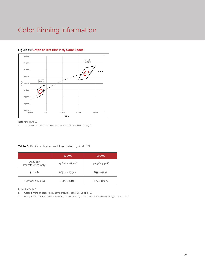# Color Binning Information



# **Figure 11: Graph of Test Bins in xy Color Space**

Note for Figure 11:

1. Color binning at solder point temperature (Tsp) of SMDs at 85°C.

# **Table 6:** Bin Coordinates and Associated Typical CCT

|                                  | <b>2700K</b>   | 5000K          |
|----------------------------------|----------------|----------------|
| ANSI Bin<br>(for reference only) | 2580K - 2870K  | 4745K - 5311K  |
| 3 SDCM                           | 2651K - 2794K  | 4835K-5215K    |
| Center Point (x,y)               | (0.458, 0.410) | (0.345, 0.355) |

Notes for Table 6

1. Color binning at solder point temperature (Tsp) of SMDs at 85°C.

2. Bridgelux maintains a tolerance of ± 0.007 on x and y color coordinates in the CIE 1931 color space.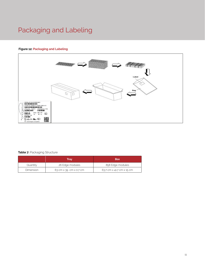# Packaging and Labeling

# **Figure 12: Packaging and Labeling**



# **Table 7: Packaging Structure**

|           | Trav                   | <b>Box</b>                |
|-----------|------------------------|---------------------------|
| Quantity  | 26 Edge modules        | 858 Edge modules          |
| Dimension | 63 cm x 39 cm x 0.7 cm | 63.7 cm x 41.7 cm x 15 cm |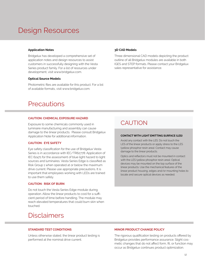# Design Resources

### **Application Notes**

Bridgelux has developed a comprehensive set of application notes and design resources to assist customers in successfully designing with the Vesta Series product family. For a list of resources under development, visit www.bridgelux.com.

### **Optical Source Models**

Photometric files are available for this product. For a list of available formats, visit www.bridgelux.com.

# **Precautions**

### **CAUTION: CHEMICAL EXPOSURE HAZARD**

Exposure to some chemicals commonly used in luminaire manufacturing and assembly can cause damage to the linear products. Please consult Bridgelux Application Note for additional information.

### **CAUTION: EYE SAFETY**

Eye safety classification for the use of Bridgelux Vesta Series is in accordance with IEC/TR62778: Application of IEC 62471 for the assessment of blue light hazard to light sources and luminaires. Vesta Series Edge is classified as Risk Group 1 when operated at or below the maximum drive current. Please use appropriate precautions. It is important that employees working with LEDs are trained to use them safely.

# **CAUTION: RISK OF BURN**

Do not touch the Vesta Series Edge module during operation. Allow the linear products to cool for a sufficient period of time before handling. The module may reach elevated temperatures that could burn skin when touched.

# **Disclaimers**

### **STANDARD TEST CONDITIONS**

Unless otherwise stated, the linear product testing is performed at the nominal drive current.

### **3D CAD Models**

Three dimensional CAD models depicting the product outline of all Bridgelux modules are available in both IGES and STEP formats. Please contact your Bridgelux sales representative for assistance.

# CAUTION

### **CONTACT WITH LIGHT EMITTING SURFACE (LES)**

Avoid any contact with the LES. Do not touch the LES of the linear products or apply stress to the LES (yellow phosphor resin area). Contact may cause damage to the linear products.

Optics and reflectors must not be mounted in contact with the LES (yellow phosphor resin area). Optical devices may be mounted on the top surface of the linear products. Use the mechanical features of the linear product housing, edges and/or mounting holes to locate and secure optical devices as needed.

### **MINOR PRODUCT CHANGE POLICY**

The rigorous qualification testing on products offered by Bridgelux provides performance assurance. Slight cosmetic changes that do not affect form, fit, or function may occur as Bridgelux continues product optimization.